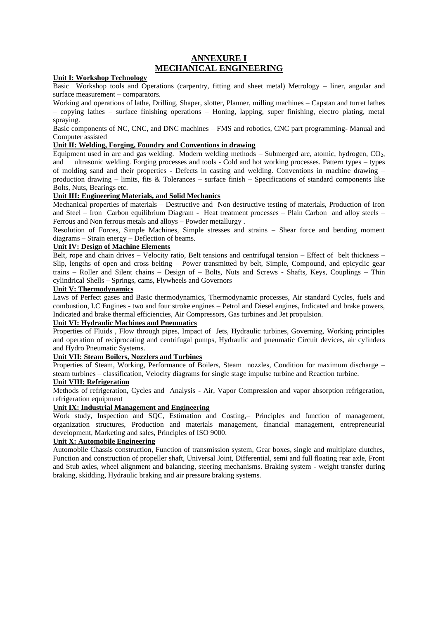## **ANNEXURE I MECHANICAL ENGINEERING**

### **Unit I: Workshop Technology**

Basic Workshop tools and Operations (carpentry, fitting and sheet metal) Metrology – liner, angular and surface measurement – comparators.

Working and operations of lathe, Drilling, Shaper, slotter, Planner, milling machines – Capstan and turret lathes – copying lathes – surface finishing operations – Honing, lapping, super finishing, electro plating, metal spraying.

Basic components of NC, CNC, and DNC machines – FMS and robotics, CNC part programming- Manual and Computer assisted

#### **Unit II: Welding, Forging, Foundry and Conventions in drawing**

Equipment used in arc and gas welding. Modern welding methods – Submerged arc, atomic, hydrogen,  $CO<sub>2</sub>$ , and ultrasonic welding. Forging processes and tools - Cold and hot working processes. Pattern types – types of molding sand and their properties - Defects in casting and welding. Conventions in machine drawing – production drawing – limits, fits & Tolerances – surface finish – Specifications of standard components like Bolts, Nuts, Bearings etc.

#### **Unit III: Engineering Materials, and Solid Mechanics**

Mechanical properties of materials – Destructive and Non destructive testing of materials, Production of Iron and Steel – Iron Carbon equilibrium Diagram - Heat treatment processes – Plain Carbon and alloy steels – Ferrous and Non ferrous metals and alloys – Powder metallurgy .

Resolution of Forces, Simple Machines, Simple stresses and strains – Shear force and bending moment diagrams – Strain energy – Deflection of beams.

### **Unit IV: Design of Machine Elements**

Belt, rope and chain drives – Velocity ratio, Belt tensions and centrifugal tension – Effect of belt thickness – Slip, lengths of open and cross belting – Power transmitted by belt, Simple, Compound, and epicyclic gear trains – Roller and Silent chains – Design of – Bolts, Nuts and Screws - Shafts, Keys, Couplings – Thin cylindrical Shells – Springs, cams, Flywheels and Governors

#### **Unit V: Thermodynamics**

Laws of Perfect gases and Basic thermodynamics, Thermodynamic processes, Air standard Cycles, fuels and combustion, I.C Engines - two and four stroke engines – Petrol and Diesel engines, Indicated and brake powers, Indicated and brake thermal efficiencies, Air Compressors, Gas turbines and Jet propulsion.

## **Unit VI: Hydraulic Machines and Pneumatics**

Properties of Fluids , Flow through pipes, Impact of Jets, Hydraulic turbines, Governing, Working principles and operation of reciprocating and centrifugal pumps, Hydraulic and pneumatic Circuit devices, air cylinders and Hydro Pneumatic Systems.

#### **Unit VII: Steam Boilers, Nozzlers and Turbines**

Properties of Steam, Working, Performance of Boilers, Steam nozzles, Condition for maximum discharge – steam turbines – classification, Velocity diagrams for single stage impulse turbine and Reaction turbine.

#### **Unit VIII: Refrigeration**

Methods of refrigeration, Cycles and Analysis - Air, Vapor Compression and vapor absorption refrigeration, refrigeration equipment

#### **Unit IX: Industrial Management and Engineering**

Work study, Inspection and SQC, Estimation and Costing,– Principles and function of management, organization structures, Production and materials management, financial management, entrepreneurial development, Marketing and sales, Principles of ISO 9000.

#### **Unit X: Automobile Engineering**

Automobile Chassis construction, Function of transmission system, Gear boxes, single and multiplate clutches, Function and construction of propeller shaft, Universal Joint, Differential, semi and full floating rear axle, Front and Stub axles, wheel alignment and balancing, steering mechanisms. Braking system - weight transfer during braking, skidding, Hydraulic braking and air pressure braking systems.